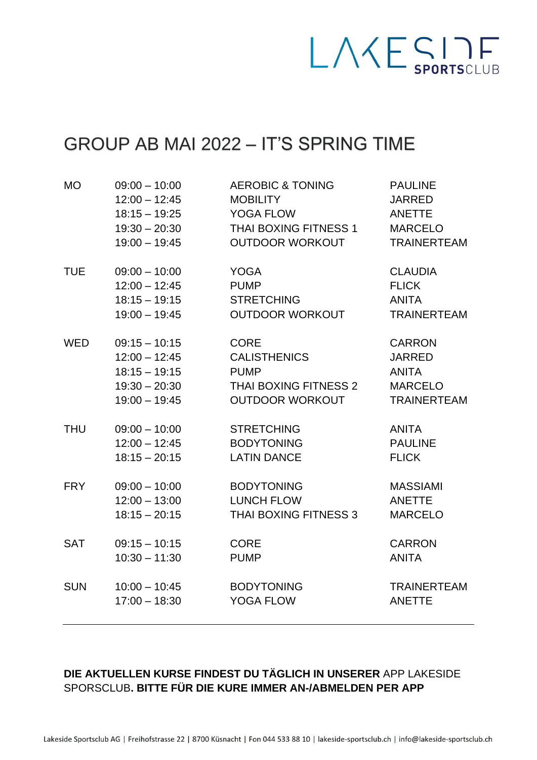

## GROUP AB MAI 2022 – IT'S SPRING TIME

| <b>MO</b>  | $09:00 - 10:00$ | <b>AEROBIC &amp; TONING</b> | <b>PAULINE</b>     |
|------------|-----------------|-----------------------------|--------------------|
|            | $12:00 - 12:45$ | <b>MOBILITY</b>             | <b>JARRED</b>      |
|            | $18:15 - 19:25$ | <b>YOGA FLOW</b>            | ANETTE             |
|            | $19:30 - 20:30$ | THAI BOXING FITNESS 1       | <b>MARCELO</b>     |
|            | $19:00 - 19:45$ | <b>OUTDOOR WORKOUT</b>      | <b>TRAINERTEAM</b> |
| <b>TUE</b> | $09:00 - 10:00$ | <b>YOGA</b>                 | <b>CLAUDIA</b>     |
|            | $12:00 - 12:45$ | <b>PUMP</b>                 | <b>FLICK</b>       |
|            | $18:15 - 19:15$ | <b>STRETCHING</b>           | <b>ANITA</b>       |
|            | $19:00 - 19:45$ | <b>OUTDOOR WORKOUT</b>      | <b>TRAINERTEAM</b> |
| <b>WED</b> | $09:15 - 10:15$ | <b>CORE</b>                 | <b>CARRON</b>      |
|            | $12:00 - 12:45$ | <b>CALISTHENICS</b>         | <b>JARRED</b>      |
|            | $18:15 - 19:15$ | <b>PUMP</b>                 | ANITA              |
|            | $19:30 - 20:30$ | THAI BOXING FITNESS 2       | <b>MARCELO</b>     |
|            | $19:00 - 19:45$ | <b>OUTDOOR WORKOUT</b>      | <b>TRAINERTEAM</b> |
| <b>THU</b> | $09:00 - 10:00$ | <b>STRETCHING</b>           | <b>ANITA</b>       |
|            | $12:00 - 12:45$ | <b>BODYTONING</b>           | <b>PAULINE</b>     |
|            | $18:15 - 20:15$ | <b>LATIN DANCE</b>          | <b>FLICK</b>       |
| <b>FRY</b> | $09:00 - 10:00$ | <b>BODYTONING</b>           | <b>MASSIAMI</b>    |
|            | $12:00 - 13:00$ | <b>LUNCH FLOW</b>           | <b>ANETTE</b>      |
|            | $18:15 - 20:15$ | THAI BOXING FITNESS 3       | <b>MARCELO</b>     |
| <b>SAT</b> | $09:15 - 10:15$ | <b>CORE</b>                 | <b>CARRON</b>      |
|            | $10:30 - 11:30$ | <b>PUMP</b>                 | <b>ANITA</b>       |
| <b>SUN</b> | $10:00 - 10:45$ | <b>BODYTONING</b>           | <b>TRAINERTEAM</b> |
|            | $17:00 - 18:30$ | <b>YOGA FLOW</b>            | <b>ANETTE</b>      |

## **DIE AKTUELLEN KURSE FINDEST DU TÄGLICH IN UNSERER** APP LAKESIDE SPORSCLUB**. BITTE FÜR DIE KURE IMMER AN-/ABMELDEN PER APP**

Lakeside Sportsclub AG | Freihofstrasse 22 | 8700 Küsnacht | Fon 044 533 88 10 | lakeside-sportsclub.ch | info@lakeside-sportsclub.ch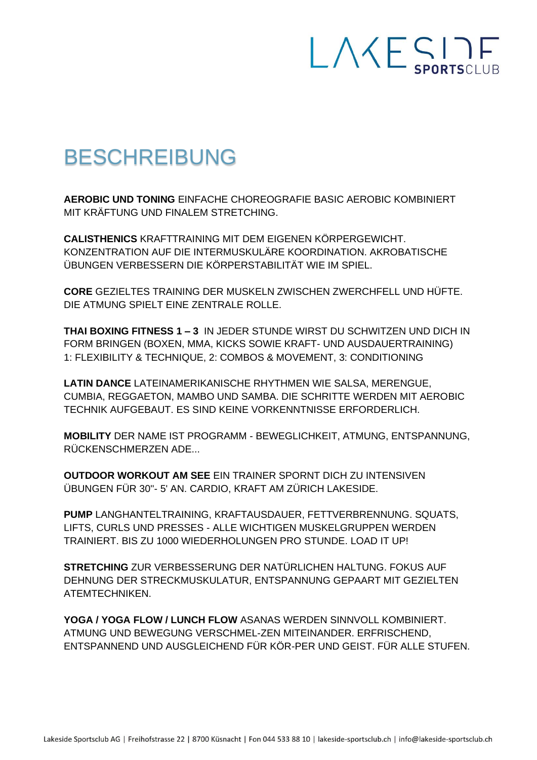

## **BESCHREIBUNG**

**AEROBIC UND TONING EINFACHE CHOREOGRAFIE BASIC AEROBIC KOMBINIERT** MIT KRÄFTUNG UND FINALEM STRETCHING.

**CALISTHENICS KRAFTTRAINING MIT DEM EIGENEN KÖRPERGEWICHT.** KONZENTRATION AUF DIE INTERMUSKULÄRE KOORDINATION, AKROBATISCHE ÜBUNGEN VERBESSERN DIE KÖRPERSTABILITÄT WIE IM SPIEL.

CORE GEZIELTES TRAINING DER MUSKELN ZWISCHEN ZWERCHFELL UND HÜFTE. DIE ATMUNG SPIELT EINE ZENTRALE ROLLE

THAI BOXING FITNESS 1-3 IN JEDER STUNDE WIRST DU SCHWITZEN UND DICH IN FORM BRINGEN (BOXEN, MMA, KICKS SOWIE KRAFT- UND AUSDAUERTRAINING) 1: FLEXIBILITY & TECHNIQUE, 2: COMBOS & MOVEMENT, 3: CONDITIONING

LATIN DANCE LATEINAMERIKANISCHE RHYTHMEN WIE SALSA, MERENGUE, CUMBIA, REGGAETON, MAMBO UND SAMBA. DIE SCHRITTE WERDEN MIT AEROBIC TECHNIK AUFGEBAUT. ES SIND KEINE VORKENNTNISSE ERFORDERLICH.

**MOBILITY DER NAME IST PROGRAMM - BEWEGLICHKEIT, ATMUNG, ENTSPANNUNG,** RÜCKENSCHMERZEN ADE...

**OUTDOOR WORKOUT AM SEE EIN TRAINER SPORNT DICH ZU INTENSIVEN** ÜBUNGEN FÜR 30"- 5' AN. CARDIO, KRAFT AM ZÜRICH LAKESIDE.

PUMP LANGHANTELTRAINING, KRAFTAUSDAUER, FETTVERBRENNUNG. SQUATS, LIFTS, CURLS UND PRESSES - ALLE WICHTIGEN MUSKELGRUPPEN WERDEN TRAINIERT. BIS ZU 1000 WIEDERHOLUNGEN PRO STUNDE. LOAD IT UP!

**STRETCHING ZUR VERBESSERUNG DER NATÜRLICHEN HALTUNG. FOKUS AUF** DEHNUNG DER STRECKMUSKULATUR. ENTSPANNUNG GEPAART MIT GEZIELTEN **ATFMTFCHNIKFN** 

YOGA / YOGA FLOW / LUNCH FLOW ASANAS WERDEN SINNVOLL KOMBINIERT. ATMUNG UND BEWEGUNG VERSCHMEL-ZEN MITEINANDER, ERFRISCHEND. ENTSPANNEND UND AUSGLEICHEND FÜR KÖR-PER UND GEIST. FÜR ALLE STUFEN.